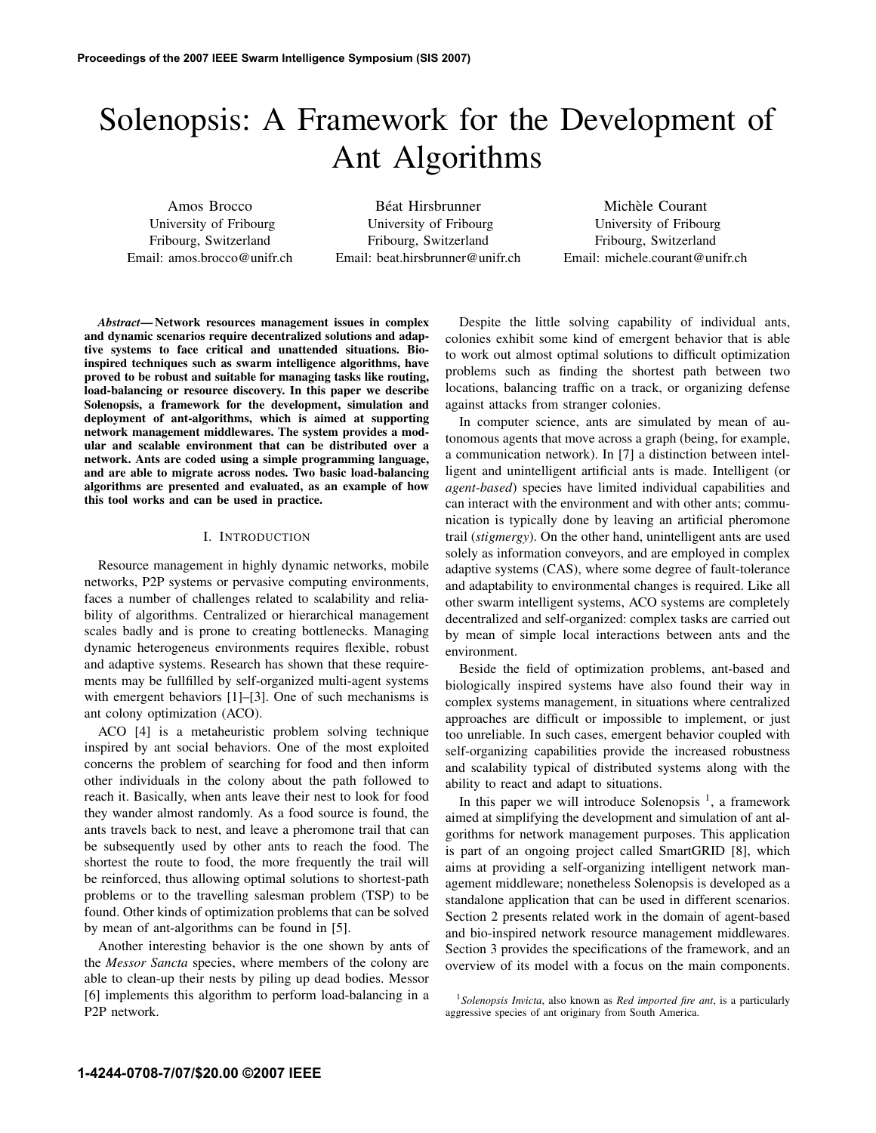# Solenopsis: A Framework for the Development of Ant Algorithms

Amos Brocco University of Fribourg Fribourg, Switzerland Email: amos.brocco@unifr.ch

Béat Hirsbrunner University of Fribourg Fribourg, Switzerland Email: beat.hirsbrunner@unifr.ch

Michèle Courant University of Fribourg Fribourg, Switzerland Email: michele.courant@unifr.ch

*Abstract*— Network resources management issues in complex and dynamic scenarios require decentralized solutions and adaptive systems to face critical and unattended situations. Bioinspired techniques such as swarm intelligence algorithms, have proved to be robust and suitable for managing tasks like routing, load-balancing or resource discovery. In this paper we describe Solenopsis, a framework for the development, simulation and deployment of ant-algorithms, which is aimed at supporting network management middlewares. The system provides a modular and scalable environment that can be distributed over a network. Ants are coded using a simple programming language, and are able to migrate across nodes. Two basic load-balancing algorithms are presented and evaluated, as an example of how this tool works and can be used in practice.

## I. INTRODUCTION

Resource management in highly dynamic networks, mobile networks, P2P systems or pervasive computing environments, faces a number of challenges related to scalability and reliability of algorithms. Centralized or hierarchical management scales badly and is prone to creating bottlenecks. Managing dynamic heterogeneus environments requires flexible, robust and adaptive systems. Research has shown that these requirements may be fullfilled by self-organized multi-agent systems with emergent behaviors [1]–[3]. One of such mechanisms is ant colony optimization (ACO).

ACO [4] is a metaheuristic problem solving technique inspired by ant social behaviors. One of the most exploited concerns the problem of searching for food and then inform other individuals in the colony about the path followed to reach it. Basically, when ants leave their nest to look for food they wander almost randomly. As a food source is found, the ants travels back to nest, and leave a pheromone trail that can be subsequently used by other ants to reach the food. The shortest the route to food, the more frequently the trail will be reinforced, thus allowing optimal solutions to shortest-path problems or to the travelling salesman problem (TSP) to be found. Other kinds of optimization problems that can be solved by mean of ant-algorithms can be found in [5].

Another interesting behavior is the one shown by ants of the *Messor Sancta* species, where members of the colony are able to clean-up their nests by piling up dead bodies. Messor [6] implements this algorithm to perform load-balancing in a P2P network.

Despite the little solving capability of individual ants, colonies exhibit some kind of emergent behavior that is able to work out almost optimal solutions to difficult optimization problems such as finding the shortest path between two locations, balancing traffic on a track, or organizing defense against attacks from stranger colonies.

In computer science, ants are simulated by mean of autonomous agents that move across a graph (being, for example, a communication network). In [7] a distinction between intelligent and unintelligent artificial ants is made. Intelligent (or *agent-based*) species have limited individual capabilities and can interact with the environment and with other ants; communication is typically done by leaving an artificial pheromone trail (*stigmergy*). On the other hand, unintelligent ants are used solely as information conveyors, and are employed in complex adaptive systems (CAS), where some degree of fault-tolerance and adaptability to environmental changes is required. Like all other swarm intelligent systems, ACO systems are completely decentralized and self-organized: complex tasks are carried out by mean of simple local interactions between ants and the environment.

Beside the field of optimization problems, ant-based and biologically inspired systems have also found their way in complex systems management, in situations where centralized approaches are difficult or impossible to implement, or just too unreliable. In such cases, emergent behavior coupled with self-organizing capabilities provide the increased robustness and scalability typical of distributed systems along with the ability to react and adapt to situations.

In this paper we will introduce Solenopsis  $<sup>1</sup>$ , a framework</sup> aimed at simplifying the development and simulation of ant algorithms for network management purposes. This application is part of an ongoing project called SmartGRID [8], which aims at providing a self-organizing intelligent network management middleware; nonetheless Solenopsis is developed as a standalone application that can be used in different scenarios. Section 2 presents related work in the domain of agent-based and bio-inspired network resource management middlewares. Section 3 provides the specifications of the framework, and an overview of its model with a focus on the main components.

<sup>1</sup>*Solenopsis Invicta*, also known as *Red imported fire ant*, is a particularly aggressive species of ant originary from South America.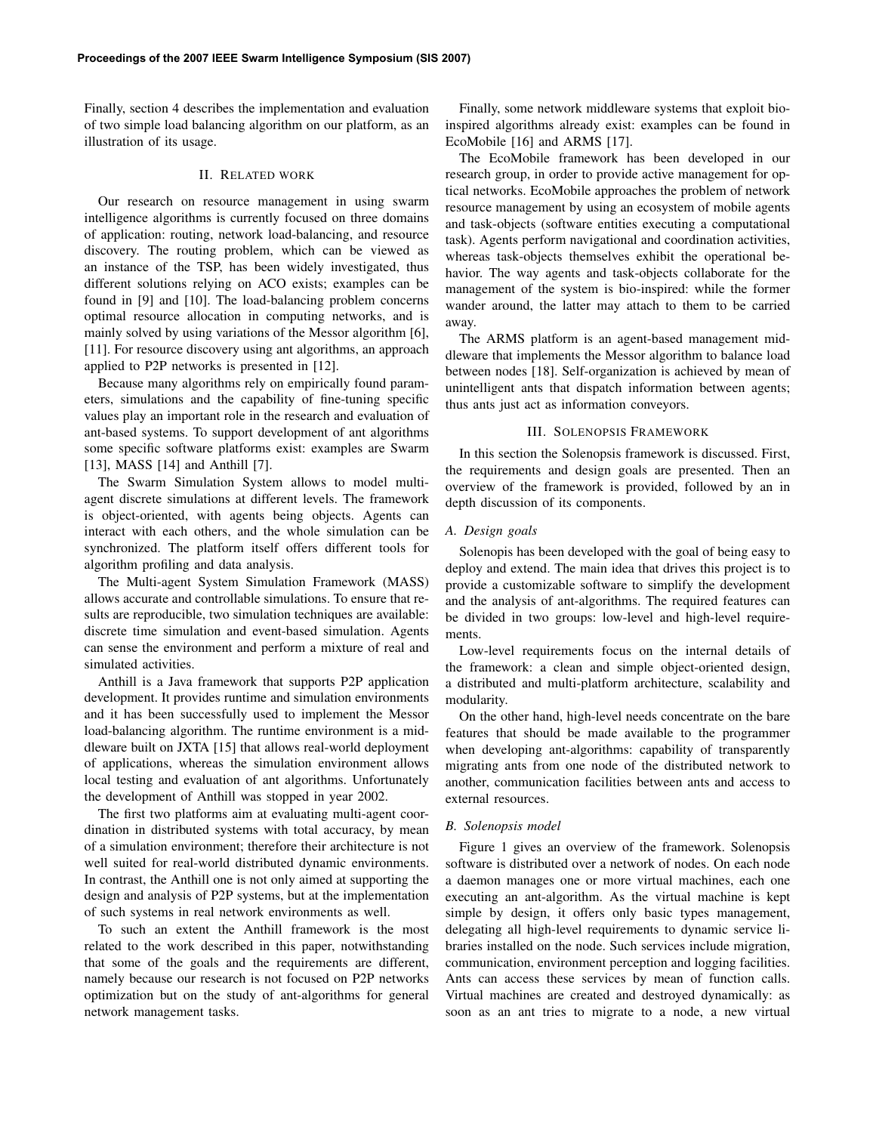Finally, section 4 describes the implementation and evaluation of two simple load balancing algorithm on our platform, as an illustration of its usage.

# II. RELATED WORK

Our research on resource management in using swarm intelligence algorithms is currently focused on three domains of application: routing, network load-balancing, and resource discovery. The routing problem, which can be viewed as an instance of the TSP, has been widely investigated, thus different solutions relying on ACO exists; examples can be found in [9] and [10]. The load-balancing problem concerns optimal resource allocation in computing networks, and is mainly solved by using variations of the Messor algorithm [6], [11]. For resource discovery using ant algorithms, an approach applied to P2P networks is presented in [12].

Because many algorithms rely on empirically found parameters, simulations and the capability of fine-tuning specific values play an important role in the research and evaluation of ant-based systems. To support development of ant algorithms some specific software platforms exist: examples are Swarm [13], MASS [14] and Anthill [7].

The Swarm Simulation System allows to model multiagent discrete simulations at different levels. The framework is object-oriented, with agents being objects. Agents can interact with each others, and the whole simulation can be synchronized. The platform itself offers different tools for algorithm profiling and data analysis.

The Multi-agent System Simulation Framework (MASS) allows accurate and controllable simulations. To ensure that results are reproducible, two simulation techniques are available: discrete time simulation and event-based simulation. Agents can sense the environment and perform a mixture of real and simulated activities.

Anthill is a Java framework that supports P2P application development. It provides runtime and simulation environments and it has been successfully used to implement the Messor load-balancing algorithm. The runtime environment is a middleware built on JXTA [15] that allows real-world deployment of applications, whereas the simulation environment allows local testing and evaluation of ant algorithms. Unfortunately the development of Anthill was stopped in year 2002.

The first two platforms aim at evaluating multi-agent coordination in distributed systems with total accuracy, by mean of a simulation environment; therefore their architecture is not well suited for real-world distributed dynamic environments. In contrast, the Anthill one is not only aimed at supporting the design and analysis of P2P systems, but at the implementation of such systems in real network environments as well.

To such an extent the Anthill framework is the most related to the work described in this paper, notwithstanding that some of the goals and the requirements are different, namely because our research is not focused on P2P networks optimization but on the study of ant-algorithms for general network management tasks.

Finally, some network middleware systems that exploit bioinspired algorithms already exist: examples can be found in EcoMobile [16] and ARMS [17].

The EcoMobile framework has been developed in our research group, in order to provide active management for optical networks. EcoMobile approaches the problem of network resource management by using an ecosystem of mobile agents and task-objects (software entities executing a computational task). Agents perform navigational and coordination activities, whereas task-objects themselves exhibit the operational behavior. The way agents and task-objects collaborate for the management of the system is bio-inspired: while the former wander around, the latter may attach to them to be carried away.

The ARMS platform is an agent-based management middleware that implements the Messor algorithm to balance load between nodes [18]. Self-organization is achieved by mean of unintelligent ants that dispatch information between agents; thus ants just act as information conveyors.

# III. SOLENOPSIS FRAMEWORK

In this section the Solenopsis framework is discussed. First, the requirements and design goals are presented. Then an overview of the framework is provided, followed by an in depth discussion of its components.

#### *A. Design goals*

Solenopis has been developed with the goal of being easy to deploy and extend. The main idea that drives this project is to provide a customizable software to simplify the development and the analysis of ant-algorithms. The required features can be divided in two groups: low-level and high-level requirements.

Low-level requirements focus on the internal details of the framework: a clean and simple object-oriented design, a distributed and multi-platform architecture, scalability and modularity.

On the other hand, high-level needs concentrate on the bare features that should be made available to the programmer when developing ant-algorithms: capability of transparently migrating ants from one node of the distributed network to another, communication facilities between ants and access to external resources.

#### *B. Solenopsis model*

Figure 1 gives an overview of the framework. Solenopsis software is distributed over a network of nodes. On each node a daemon manages one or more virtual machines, each one executing an ant-algorithm. As the virtual machine is kept simple by design, it offers only basic types management, delegating all high-level requirements to dynamic service libraries installed on the node. Such services include migration, communication, environment perception and logging facilities. Ants can access these services by mean of function calls. Virtual machines are created and destroyed dynamically: as soon as an ant tries to migrate to a node, a new virtual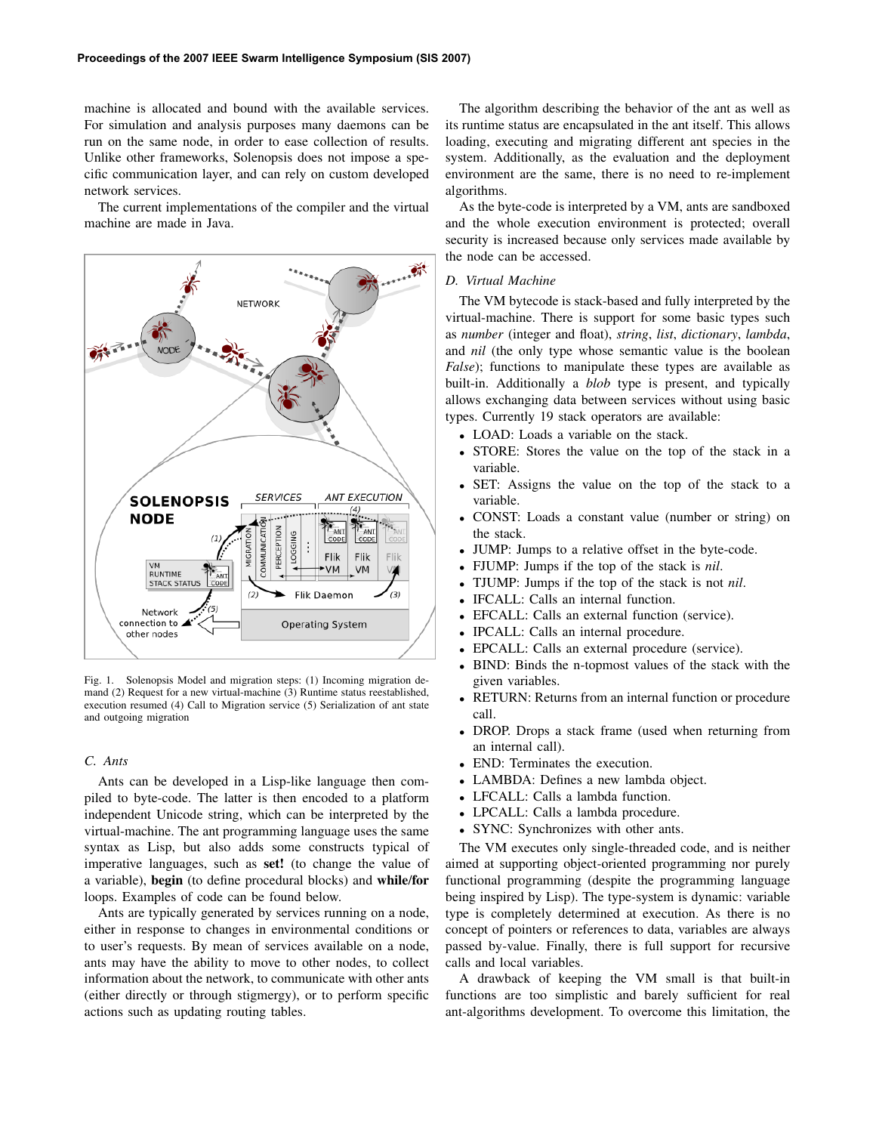machine is allocated and bound with the available services. For simulation and analysis purposes many daemons can be run on the same node, in order to ease collection of results. Unlike other frameworks, Solenopsis does not impose a specific communication layer, and can rely on custom developed network services.

The current implementations of the compiler and the virtual machine are made in Java.



Fig. 1. Solenopsis Model and migration steps: (1) Incoming migration demand (2) Request for a new virtual-machine (3) Runtime status reestablished, execution resumed (4) Call to Migration service (5) Serialization of ant state and outgoing migration

## *C. Ants*

Ants can be developed in a Lisp-like language then compiled to byte-code. The latter is then encoded to a platform independent Unicode string, which can be interpreted by the virtual-machine. The ant programming language uses the same syntax as Lisp, but also adds some constructs typical of imperative languages, such as set! (to change the value of a variable), begin (to define procedural blocks) and while/for loops. Examples of code can be found below.

Ants are typically generated by services running on a node, either in response to changes in environmental conditions or to user's requests. By mean of services available on a node, ants may have the ability to move to other nodes, to collect information about the network, to communicate with other ants (either directly or through stigmergy), or to perform specific actions such as updating routing tables.

The algorithm describing the behavior of the ant as well as its runtime status are encapsulated in the ant itself. This allows loading, executing and migrating different ant species in the system. Additionally, as the evaluation and the deployment environment are the same, there is no need to re-implement algorithms.

As the byte-code is interpreted by a VM, ants are sandboxed and the whole execution environment is protected; overall security is increased because only services made available by the node can be accessed.

## *D. Virtual Machine*

The VM bytecode is stack-based and fully interpreted by the virtual-machine. There is support for some basic types such as *number* (integer and float), *string*, *list*, *dictionary*, *lambda*, and *nil* (the only type whose semantic value is the boolean *False*); functions to manipulate these types are available as built-in. Additionally a *blob* type is present, and typically allows exchanging data between services without using basic types. Currently 19 stack operators are available:

- LOAD: Loads a variable on the stack.
- STORE: Stores the value on the top of the stack in a variable.
- SET: Assigns the value on the top of the stack to a variable.
- CONST: Loads a constant value (number or string) on the stack.
- JUMP: Jumps to a relative offset in the byte-code.
- FJUMP: Jumps if the top of the stack is *nil*.
- TJUMP: Jumps if the top of the stack is not *nil*.
- IFCALL: Calls an internal function.
- EFCALL: Calls an external function (service).
- IPCALL: Calls an internal procedure.
- EPCALL: Calls an external procedure (service).
- BIND: Binds the n-topmost values of the stack with the given variables.
- RETURN: Returns from an internal function or procedure call.
- DROP. Drops a stack frame (used when returning from an internal call).
- END: Terminates the execution.
- LAMBDA: Defines a new lambda object.
- LFCALL: Calls a lambda function.
- LPCALL: Calls a lambda procedure.
- SYNC: Synchronizes with other ants.

The VM executes only single-threaded code, and is neither aimed at supporting object-oriented programming nor purely functional programming (despite the programming language being inspired by Lisp). The type-system is dynamic: variable type is completely determined at execution. As there is no concept of pointers or references to data, variables are always passed by-value. Finally, there is full support for recursive calls and local variables.

A drawback of keeping the VM small is that built-in functions are too simplistic and barely sufficient for real ant-algorithms development. To overcome this limitation, the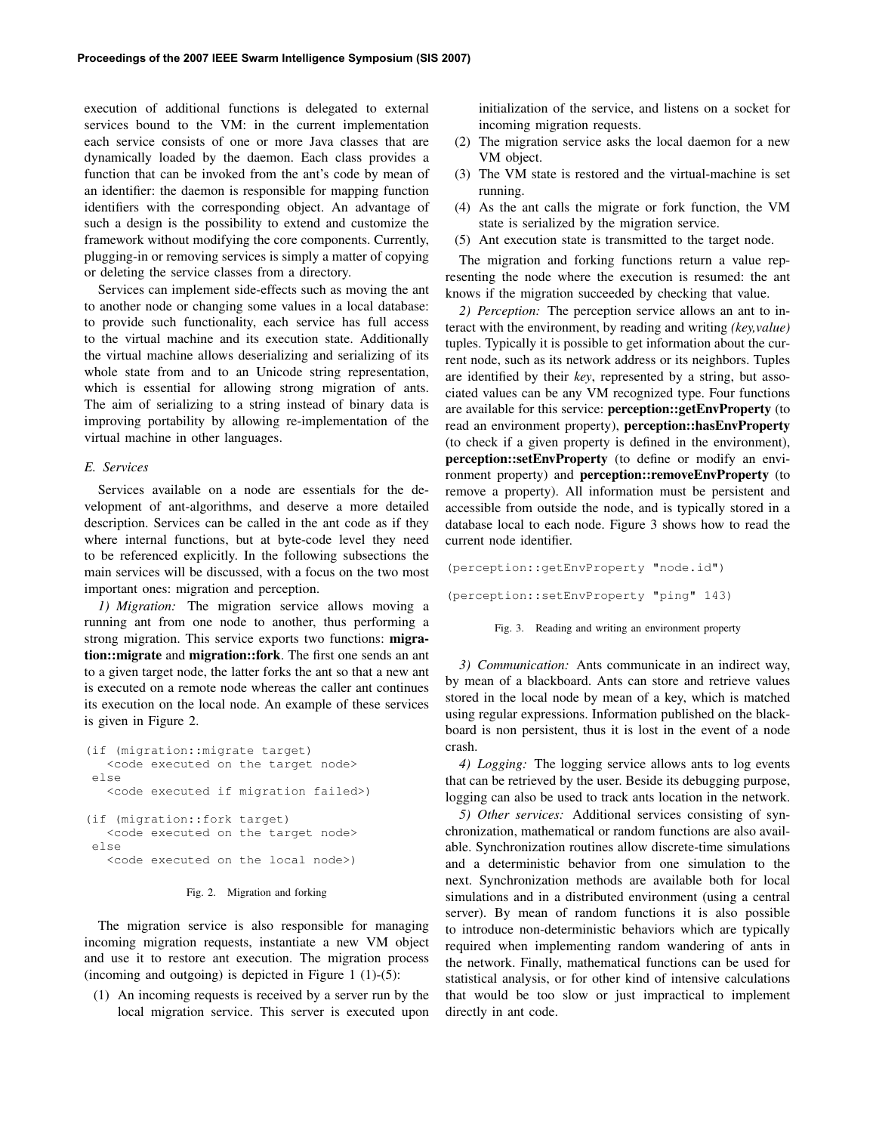execution of additional functions is delegated to external services bound to the VM: in the current implementation each service consists of one or more Java classes that are dynamically loaded by the daemon. Each class provides a function that can be invoked from the ant's code by mean of an identifier: the daemon is responsible for mapping function identifiers with the corresponding object. An advantage of such a design is the possibility to extend and customize the framework without modifying the core components. Currently, plugging-in or removing services is simply a matter of copying or deleting the service classes from a directory.

Services can implement side-effects such as moving the ant to another node or changing some values in a local database: to provide such functionality, each service has full access to the virtual machine and its execution state. Additionally the virtual machine allows deserializing and serializing of its whole state from and to an Unicode string representation, which is essential for allowing strong migration of ants. The aim of serializing to a string instead of binary data is improving portability by allowing re-implementation of the virtual machine in other languages.

## *E. Services*

Services available on a node are essentials for the development of ant-algorithms, and deserve a more detailed description. Services can be called in the ant code as if they where internal functions, but at byte-code level they need to be referenced explicitly. In the following subsections the main services will be discussed, with a focus on the two most important ones: migration and perception.

*1) Migration:* The migration service allows moving a running ant from one node to another, thus performing a strong migration. This service exports two functions: migration::migrate and migration::fork. The first one sends an ant to a given target node, the latter forks the ant so that a new ant is executed on a remote node whereas the caller ant continues its execution on the local node. An example of these services is given in Figure 2.

```
(if (migration::migrate target)
  <code executed on the target node>
else
  <code executed if migration failed>)
(if (migration::fork target)
  <code executed on the target node>
else
  <code executed on the local node>)
```
#### Fig. 2. Migration and forking

The migration service is also responsible for managing incoming migration requests, instantiate a new VM object and use it to restore ant execution. The migration process (incoming and outgoing) is depicted in Figure 1  $(1)-(5)$ :

(1) An incoming requests is received by a server run by the local migration service. This server is executed upon initialization of the service, and listens on a socket for incoming migration requests.

- (2) The migration service asks the local daemon for a new VM object.
- (3) The VM state is restored and the virtual-machine is set running.
- (4) As the ant calls the migrate or fork function, the VM state is serialized by the migration service.
- (5) Ant execution state is transmitted to the target node.

The migration and forking functions return a value representing the node where the execution is resumed: the ant knows if the migration succeeded by checking that value.

*2) Perception:* The perception service allows an ant to interact with the environment, by reading and writing *(key,value)* tuples. Typically it is possible to get information about the current node, such as its network address or its neighbors. Tuples are identified by their *key*, represented by a string, but associated values can be any VM recognized type. Four functions are available for this service: perception::getEnvProperty (to read an environment property), perception::hasEnvProperty (to check if a given property is defined in the environment), perception::setEnvProperty (to define or modify an environment property) and perception::removeEnvProperty (to remove a property). All information must be persistent and accessible from outside the node, and is typically stored in a database local to each node. Figure 3 shows how to read the current node identifier.

(perception::getEnvProperty "node.id") (perception::setEnvProperty "ping" 143)



*3) Communication:* Ants communicate in an indirect way, by mean of a blackboard. Ants can store and retrieve values stored in the local node by mean of a key, which is matched using regular expressions. Information published on the blackboard is non persistent, thus it is lost in the event of a node crash.

*4) Logging:* The logging service allows ants to log events that can be retrieved by the user. Beside its debugging purpose, logging can also be used to track ants location in the network.

*5) Other services:* Additional services consisting of synchronization, mathematical or random functions are also available. Synchronization routines allow discrete-time simulations and a deterministic behavior from one simulation to the next. Synchronization methods are available both for local simulations and in a distributed environment (using a central server). By mean of random functions it is also possible to introduce non-deterministic behaviors which are typically required when implementing random wandering of ants in the network. Finally, mathematical functions can be used for statistical analysis, or for other kind of intensive calculations that would be too slow or just impractical to implement directly in ant code.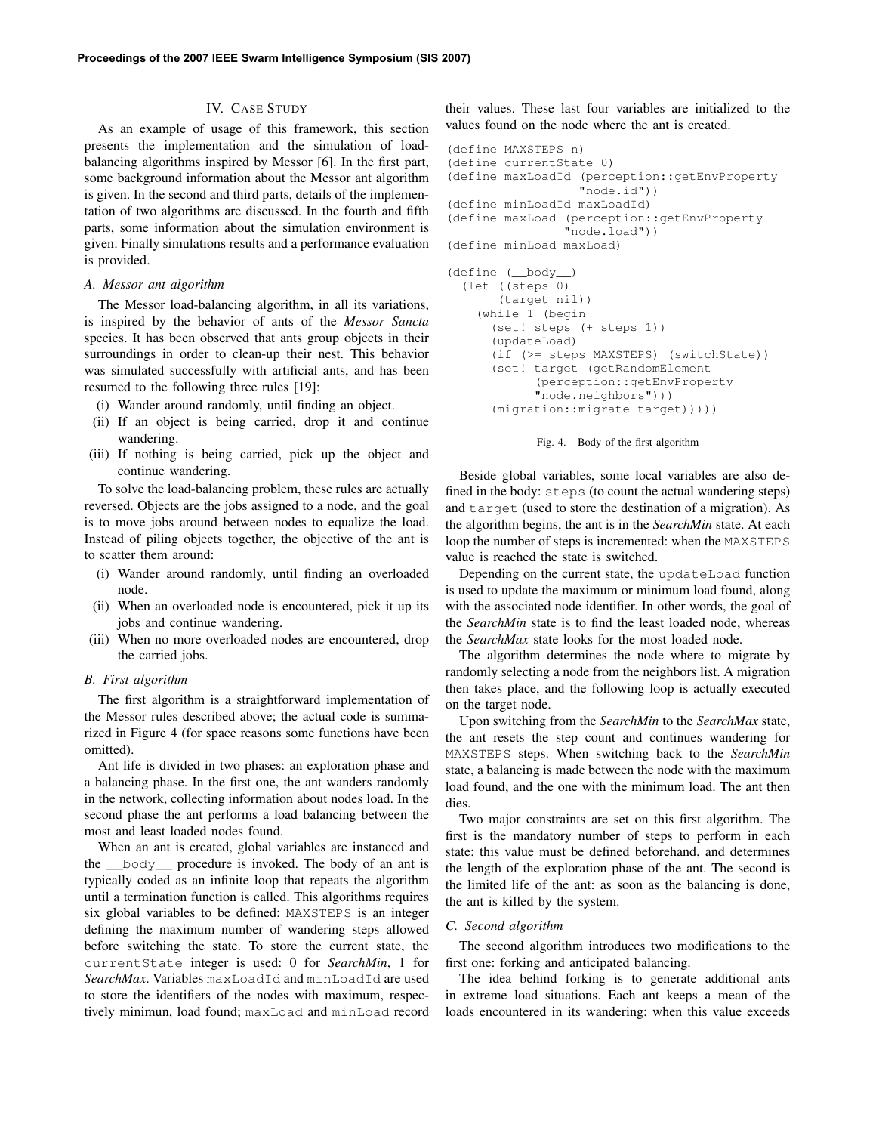# IV. CASE STUDY

As an example of usage of this framework, this section presents the implementation and the simulation of loadbalancing algorithms inspired by Messor [6]. In the first part, some background information about the Messor ant algorithm is given. In the second and third parts, details of the implementation of two algorithms are discussed. In the fourth and fifth parts, some information about the simulation environment is given. Finally simulations results and a performance evaluation is provided.

## *A. Messor ant algorithm*

The Messor load-balancing algorithm, in all its variations, is inspired by the behavior of ants of the *Messor Sancta* species. It has been observed that ants group objects in their surroundings in order to clean-up their nest. This behavior was simulated successfully with artificial ants, and has been resumed to the following three rules [19]:

- (i) Wander around randomly, until finding an object.
- (ii) If an object is being carried, drop it and continue wandering.
- (iii) If nothing is being carried, pick up the object and continue wandering.

To solve the load-balancing problem, these rules are actually reversed. Objects are the jobs assigned to a node, and the goal is to move jobs around between nodes to equalize the load. Instead of piling objects together, the objective of the ant is to scatter them around:

- (i) Wander around randomly, until finding an overloaded node.
- (ii) When an overloaded node is encountered, pick it up its jobs and continue wandering.
- (iii) When no more overloaded nodes are encountered, drop the carried jobs.

#### *B. First algorithm*

The first algorithm is a straightforward implementation of the Messor rules described above; the actual code is summarized in Figure 4 (for space reasons some functions have been omitted).

Ant life is divided in two phases: an exploration phase and a balancing phase. In the first one, the ant wanders randomly in the network, collecting information about nodes load. In the second phase the ant performs a load balancing between the most and least loaded nodes found.

When an ant is created, global variables are instanced and the \_\_body\_\_ procedure is invoked. The body of an ant is typically coded as an infinite loop that repeats the algorithm until a termination function is called. This algorithms requires six global variables to be defined: MAXSTEPS is an integer defining the maximum number of wandering steps allowed before switching the state. To store the current state, the currentState integer is used: 0 for *SearchMin*, 1 for *SearchMax*. Variables maxLoadId and minLoadId are used to store the identifiers of the nodes with maximum, respectively minimun, load found; maxLoad and minLoad record their values. These last four variables are initialized to the values found on the node where the ant is created.

```
(define MAXSTEPS n)
(define currentState 0)
(define maxLoadId (perception::getEnvProperty
                  "node.id"))
(define minLoadId maxLoadId)
(define maxLoad (perception::getEnvProperty
                "node.load"))
(define minLoad maxLoad)
(define (__body__)
```

```
(let ((steps 0)
     (target nil))
  (while 1 (begin
    (set! steps (+ steps 1))
    (updateLoad)
    (if (>= steps MAXSTEPS) (switchState))
    (set! target (getRandomElement
          (perception::getEnvProperty
          "node.neighbors")))
    (migration::migrate target)))))
```


Beside global variables, some local variables are also defined in the body: steps (to count the actual wandering steps) and target (used to store the destination of a migration). As the algorithm begins, the ant is in the *SearchMin* state. At each loop the number of steps is incremented: when the MAXSTEPS value is reached the state is switched.

Depending on the current state, the updateLoad function is used to update the maximum or minimum load found, along with the associated node identifier. In other words, the goal of the *SearchMin* state is to find the least loaded node, whereas the *SearchMax* state looks for the most loaded node.

The algorithm determines the node where to migrate by randomly selecting a node from the neighbors list. A migration then takes place, and the following loop is actually executed on the target node.

Upon switching from the *SearchMin* to the *SearchMax* state, the ant resets the step count and continues wandering for MAXSTEPS steps. When switching back to the *SearchMin* state, a balancing is made between the node with the maximum load found, and the one with the minimum load. The ant then dies.

Two major constraints are set on this first algorithm. The first is the mandatory number of steps to perform in each state: this value must be defined beforehand, and determines the length of the exploration phase of the ant. The second is the limited life of the ant: as soon as the balancing is done, the ant is killed by the system.

## *C. Second algorithm*

The second algorithm introduces two modifications to the first one: forking and anticipated balancing.

The idea behind forking is to generate additional ants in extreme load situations. Each ant keeps a mean of the loads encountered in its wandering: when this value exceeds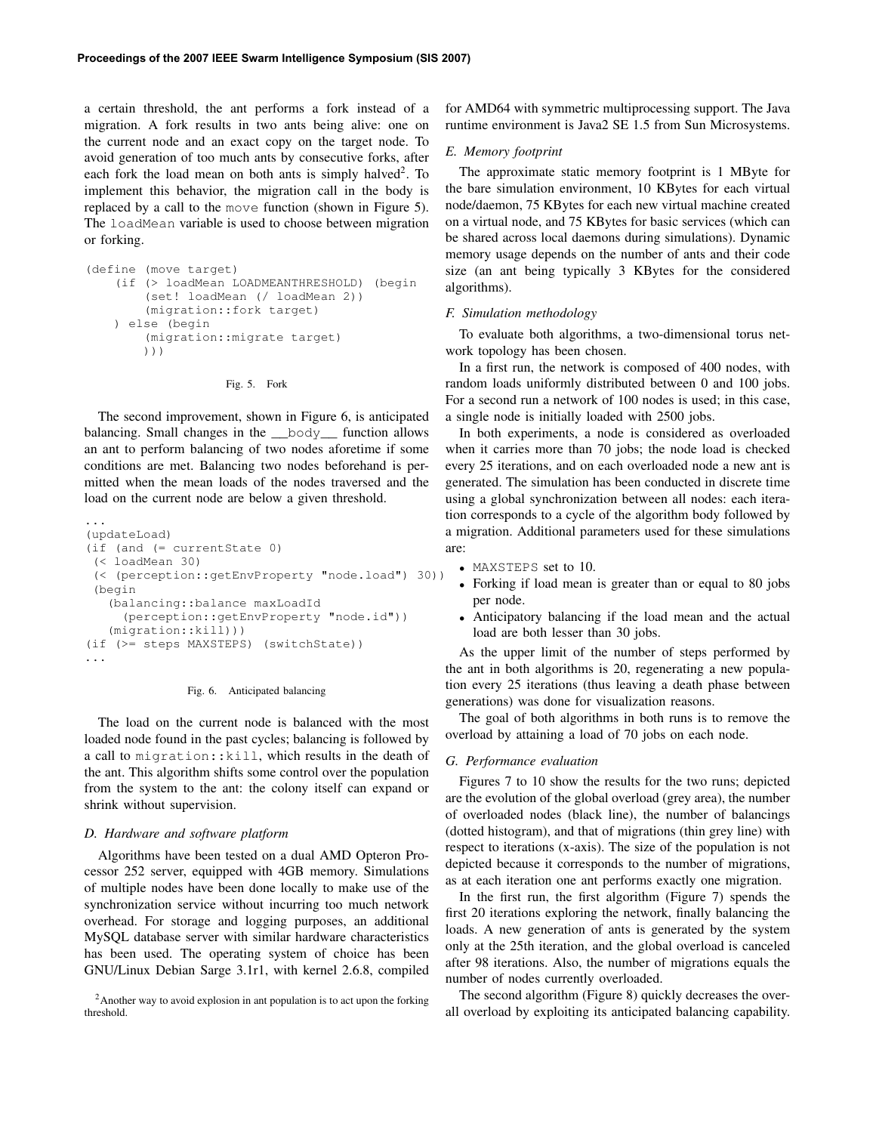a certain threshold, the ant performs a fork instead of a migration. A fork results in two ants being alive: one on the current node and an exact copy on the target node. To avoid generation of too much ants by consecutive forks, after each fork the load mean on both ants is simply halved<sup>2</sup>. To implement this behavior, the migration call in the body is replaced by a call to the move function (shown in Figure 5). The loadMean variable is used to choose between migration or forking.

```
(define (move target)
   (if (> loadMean LOADMEANTHRESHOLD) (begin
        (set! loadMean (/ loadMean 2))
        (migration::fork target)
   ) else (begin
        (migration::migrate target)
       )))
```
Fig. 5. Fork

The second improvement, shown in Figure 6, is anticipated balancing. Small changes in the \_\_body\_\_ function allows an ant to perform balancing of two nodes aforetime if some conditions are met. Balancing two nodes beforehand is permitted when the mean loads of the nodes traversed and the load on the current node are below a given threshold.

```
(updateLoad)
(if (and (= currentState 0)
(< loadMean 30)
(< (perception::getEnvProperty "node.load") 30))
(begin
   (balancing::balance maxLoadId
     (perception::getEnvProperty "node.id"))
   (migration::kill)))
(if (>= steps MAXSTEPS) (switchState))
...
```
#### Fig. 6. Anticipated balancing

The load on the current node is balanced with the most loaded node found in the past cycles; balancing is followed by a call to migration::kill, which results in the death of the ant. This algorithm shifts some control over the population from the system to the ant: the colony itself can expand or shrink without supervision.

#### *D. Hardware and software platform*

...

Algorithms have been tested on a dual AMD Opteron Processor 252 server, equipped with 4GB memory. Simulations of multiple nodes have been done locally to make use of the synchronization service without incurring too much network overhead. For storage and logging purposes, an additional MySQL database server with similar hardware characteristics has been used. The operating system of choice has been GNU/Linux Debian Sarge 3.1r1, with kernel 2.6.8, compiled

for AMD64 with symmetric multiprocessing support. The Java runtime environment is Java2 SE 1.5 from Sun Microsystems.

# *E. Memory footprint*

The approximate static memory footprint is 1 MByte for the bare simulation environment, 10 KBytes for each virtual node/daemon, 75 KBytes for each new virtual machine created on a virtual node, and 75 KBytes for basic services (which can be shared across local daemons during simulations). Dynamic memory usage depends on the number of ants and their code size (an ant being typically 3 KBytes for the considered algorithms).

## *F. Simulation methodology*

To evaluate both algorithms, a two-dimensional torus network topology has been chosen.

In a first run, the network is composed of 400 nodes, with random loads uniformly distributed between 0 and 100 jobs. For a second run a network of 100 nodes is used; in this case, a single node is initially loaded with 2500 jobs.

In both experiments, a node is considered as overloaded when it carries more than 70 jobs; the node load is checked every 25 iterations, and on each overloaded node a new ant is generated. The simulation has been conducted in discrete time using a global synchronization between all nodes: each iteration corresponds to a cycle of the algorithm body followed by a migration. Additional parameters used for these simulations are:

- MAXSTEPS set to 10.
- Forking if load mean is greater than or equal to 80 jobs per node.
- Anticipatory balancing if the load mean and the actual load are both lesser than 30 jobs.

As the upper limit of the number of steps performed by the ant in both algorithms is 20, regenerating a new population every 25 iterations (thus leaving a death phase between generations) was done for visualization reasons.

The goal of both algorithms in both runs is to remove the overload by attaining a load of 70 jobs on each node.

#### *G. Performance evaluation*

Figures 7 to 10 show the results for the two runs; depicted are the evolution of the global overload (grey area), the number of overloaded nodes (black line), the number of balancings (dotted histogram), and that of migrations (thin grey line) with respect to iterations (x-axis). The size of the population is not depicted because it corresponds to the number of migrations, as at each iteration one ant performs exactly one migration.

In the first run, the first algorithm (Figure 7) spends the first 20 iterations exploring the network, finally balancing the loads. A new generation of ants is generated by the system only at the 25th iteration, and the global overload is canceled after 98 iterations. Also, the number of migrations equals the number of nodes currently overloaded.

The second algorithm (Figure 8) quickly decreases the overall overload by exploiting its anticipated balancing capability.

<sup>2</sup>Another way to avoid explosion in ant population is to act upon the forking threshold.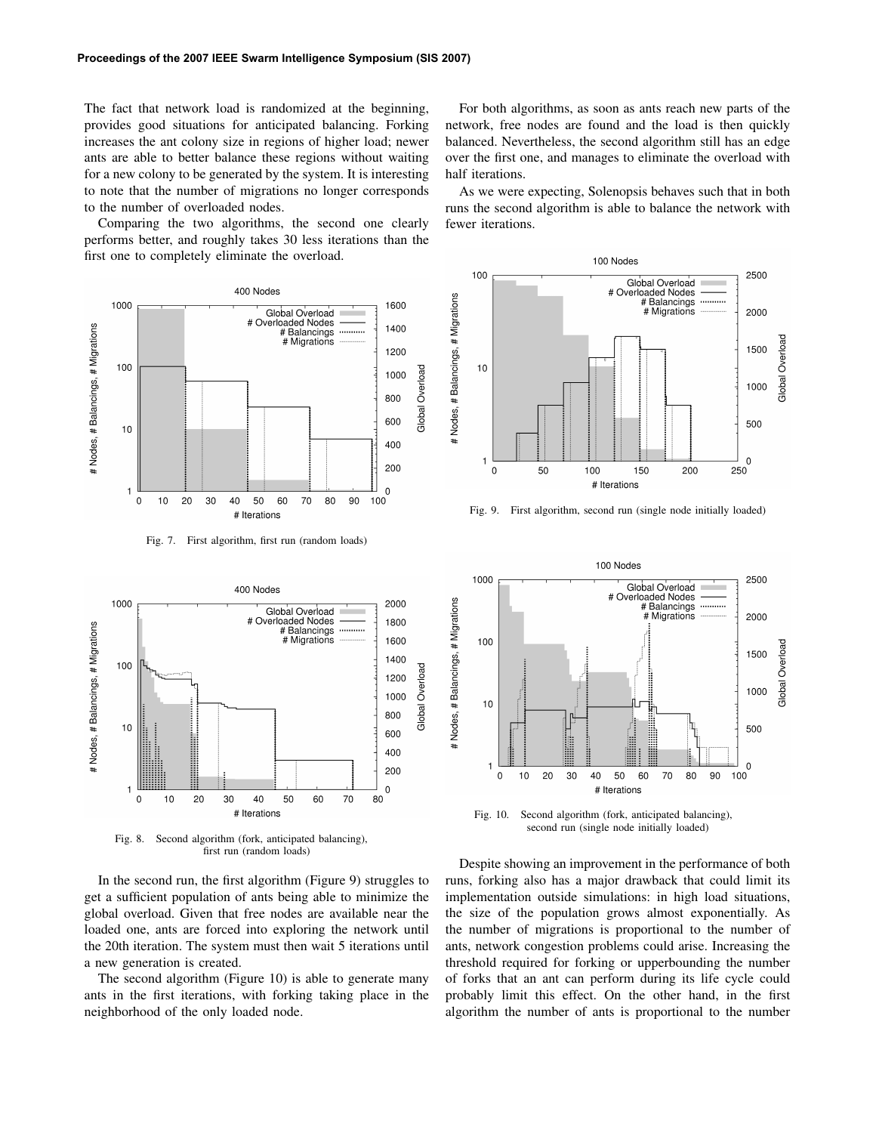The fact that network load is randomized at the beginning, provides good situations for anticipated balancing. Forking increases the ant colony size in regions of higher load; newer ants are able to better balance these regions without waiting for a new colony to be generated by the system. It is interesting to note that the number of migrations no longer corresponds to the number of overloaded nodes.

Comparing the two algorithms, the second one clearly performs better, and roughly takes 30 less iterations than the first one to completely eliminate the overload.

400 Nodes 1000 1600 Global Overload # Overloaded Nodes # Nodes, # Balancings, # Migrations 1400 # Balancings # Migrations 1200 100 Global Overload 1000 800 600  $10$ 400 200 0  $\overline{\phantom{a}}$  $\pmb{0}$  $10$ 20 30 40 50 60 70 80  $90\,$ 100 # Iterations

Fig. 7. First algorithm, first run (random loads)



Fig. 8. Second algorithm (fork, anticipated balancing), first run (random loads)

In the second run, the first algorithm (Figure 9) struggles to get a sufficient population of ants being able to minimize the global overload. Given that free nodes are available near the loaded one, ants are forced into exploring the network until the 20th iteration. The system must then wait 5 iterations until a new generation is created.

The second algorithm (Figure 10) is able to generate many ants in the first iterations, with forking taking place in the neighborhood of the only loaded node.

For both algorithms, as soon as ants reach new parts of the network, free nodes are found and the load is then quickly balanced. Nevertheless, the second algorithm still has an edge over the first one, and manages to eliminate the overload with half iterations.

As we were expecting, Solenopsis behaves such that in both runs the second algorithm is able to balance the network with fewer iterations.



Fig. 9. First algorithm, second run (single node initially loaded)



Fig. 10. Second algorithm (fork, anticipated balancing), second run (single node initially loaded)

Despite showing an improvement in the performance of both runs, forking also has a major drawback that could limit its implementation outside simulations: in high load situations, the size of the population grows almost exponentially. As the number of migrations is proportional to the number of ants, network congestion problems could arise. Increasing the threshold required for forking or upperbounding the number of forks that an ant can perform during its life cycle could probably limit this effect. On the other hand, in the first algorithm the number of ants is proportional to the number